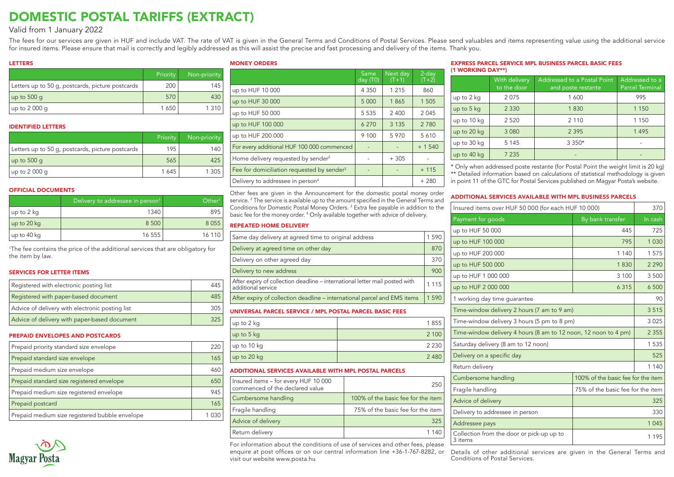# DOMESTIC POSTAL TARIFFS (EXTRACT)

### Valid from 1 January 2022

The fees for our services are given in HUF and include VAT. The rate of VAT is given in the General Terms and Conditions of Postal Services. Please send valuables and items representing value using the additional service for insured items. Please ensure that mail is correctly and legibly addressed as this will assist the precise and fast processing and delivery of the items. Thank you.

#### LETTERS

|                                                  | Priority | Non-priority |  |
|--------------------------------------------------|----------|--------------|--|
| Letters up to 50 g, postcards, picture postcards | 200      | 145          |  |
| up to 500 q                                      | 570      | 430          |  |
| up to $2000q$                                    | 1650     | 1 3 1 0      |  |

#### IDENTIFIED LETTERS

|                                                  | Priority | Non-priority |
|--------------------------------------------------|----------|--------------|
| Letters up to 50 g, postcards, picture postcards | 195      | 140          |
| up to $500q$                                     | 565      | 425          |
| up to 2 000 q                                    | 1645     | 1 3 0 5      |

#### OFFICIAL DOCUMENTS

|             | Delivery to addressee in person <sup>1</sup> | Other <sup>1</sup> |
|-------------|----------------------------------------------|--------------------|
| up to 2 kg  | 1340                                         | 895                |
| up to 20 kg | 8 500                                        | 8055               |
| up to 40 kg | 16 555                                       | 16 110             |

1 The fee contains the price of the additional services that are obligatory for the item by law.

#### SERVICES FOR LETTER ITEMS

| Registered with electronic posting list         | 445 |
|-------------------------------------------------|-----|
| Registered with paper-based document            | 485 |
| Advice of delivery with electronic posting list | 305 |
| Advice of delivery with paper-based document    |     |

#### PREPAID ENVELOPES AND POSTCARDS

| Prepaid priority standard size envelope        | 220 |
|------------------------------------------------|-----|
| Prepaid standard size envelope                 | 165 |
| Prepaid medium size envelope                   | 460 |
| Prepaid standard size registered envelope      | 650 |
| Prepaid medium size registered envelope        | 945 |
| Prepaid postcard                               | 165 |
| Prepaid medium size registered bubble envelope |     |



#### MONEY ORDERS

|                                                        | Same<br>day (T0) | Next day<br>$(T+1)$ | $2$ -day<br>$(T+2)$ |
|--------------------------------------------------------|------------------|---------------------|---------------------|
| up to HUF 10 000                                       | 4 3 5 0          | 1 2 1 5             | 860                 |
| up to HUF 30 000                                       | 5 0 0 0          | 1865                | 1 5 0 5             |
| up to HUF 50 000                                       | 5 5 3 5          | 2 4 0 0             | 2045                |
| up to HUF 100 000                                      | 6 2 7 0          | 3 1 3 5             | 2 7 8 0             |
| up to HUF 200 000                                      | 9 100            | 5970                | 5610                |
| For every additional HUF 100 000 commenced             |                  |                     | $+ 1540$            |
| Home delivery requested by sender <sup>2</sup>         |                  | $+305$              |                     |
| Fee for domiciliation requested by sender <sup>3</sup> |                  |                     | $+115$              |
| Delivery to addressee in person <sup>4</sup>           |                  |                     | $+280$              |

Other fees are given in the Announcement for the domestic postal money order service. <sup>2</sup> The service is available up to the amount specified in the General Terms and Conditions for Domestic Postal Money Orders. 3 Extra fee payable in addition to the basic fee for the money order. 4 Only available together with advice of delivery.

#### REPEATED HOME DELIVERY

| Same day delivery at agreed time to original address                                              |  |         |  |  |  |  |  |  |
|---------------------------------------------------------------------------------------------------|--|---------|--|--|--|--|--|--|
| Delivery at agreed time on other day                                                              |  |         |  |  |  |  |  |  |
| Delivery on other agreed day                                                                      |  |         |  |  |  |  |  |  |
| Delivery to new address                                                                           |  |         |  |  |  |  |  |  |
| After expiry of collection deadline – international letter mail posted with<br>additional service |  |         |  |  |  |  |  |  |
| After expiry of collection deadline – international parcel and EMS items                          |  |         |  |  |  |  |  |  |
| UNIVERSAL PARCEL SERVICE / MPL POSTAL PARCEL BASIC FEES                                           |  |         |  |  |  |  |  |  |
| up to 2 kg                                                                                        |  | 1855    |  |  |  |  |  |  |
| up to $5$ kg                                                                                      |  | 2 100   |  |  |  |  |  |  |
| up to 10 kg                                                                                       |  |         |  |  |  |  |  |  |
| up to 20 kg                                                                                       |  | 2 4 8 0 |  |  |  |  |  |  |
| <b>ADDITIONAL SERVICES AVAILABLE WITH MPL POSTAL PARCELS</b>                                      |  |         |  |  |  |  |  |  |

| Insured items - for every HUF 10 000<br>commenced of the declared value | 250                                |
|-------------------------------------------------------------------------|------------------------------------|
| Cumbersome handling                                                     | 100% of the basic fee for the item |
| Fragile handling                                                        | 75% of the basic fee for the item  |
| Advice of delivery                                                      | 325                                |
| Return delivery                                                         | 1 140                              |
|                                                                         |                                    |

For information about the conditions of use of services and other fees, please visit our website www.posta.hu

#### EXPRESS PARCEL SERVICE MPL BUSINESS PARCEL BASIC FEES (1 WORKING DAY\*\*)

|             | With delivery<br>to the door | Addressed to a Postal Point<br>and poste restante | Addressed to a<br><b>Parcel Terminal</b> |
|-------------|------------------------------|---------------------------------------------------|------------------------------------------|
| up to 2 kg  | 2075                         | 1600                                              | 995                                      |
| up to 5 kg  | 2 3 3 0                      | 1830                                              | 1 1 5 0                                  |
| up to 10 kg | 2 5 2 0                      | 2 1 1 0                                           | 1 1 5 0                                  |
| up to 20 kg | 3 0 8 0                      | 2 3 9 5                                           | 1 4 9 5                                  |
| up to 30 kg | 5 1 4 5                      | $3350*$                                           |                                          |
| up to 40 kg | 7 2 3 5                      |                                                   |                                          |

\* Only when addressed poste restante (for Postal Point the weight limit is 20 kg) \*\* Detailed information based on calculations of statistical methodology is given

in point 11 of the GTC for Postal Services published on Magyar Posta's website.

#### ADDITIONAL SERVICES AVAILABLE WITH MPL BUSINESS PARCELS

| Insured items over HUF 50 000 (for each HUF 10 000)             |                                    | 370     |  |  |
|-----------------------------------------------------------------|------------------------------------|---------|--|--|
| Payment for goods                                               | By bank transfer                   | In cash |  |  |
| up to HUF 50 000                                                | 445                                | 725     |  |  |
| up to HUF 100 000                                               | 795                                | 1 0 3 0 |  |  |
| up to HUF 200 000                                               | 1 1 4 0                            | 1575    |  |  |
| up to HUF 500 000                                               | 1830                               | 2 2 9 0 |  |  |
| up to HUF 1 000 000                                             | 3 100                              | 3 500   |  |  |
| up to HUF 2 000 000                                             | 6 3 1 5                            | 6 500   |  |  |
| 1 working day time guarantee                                    |                                    | 90      |  |  |
| Time-window delivery 2 hours (7 am to 9 am)                     |                                    | 3515    |  |  |
| Time-window delivery 3 hours (5 pm to 8 pm)                     |                                    | 3 0 2 5 |  |  |
| Time-window delivery 4 hours (8 am to 12 noon, 12 noon to 4 pm) |                                    | 2 3 5 5 |  |  |
| Saturday delivery (8 am to 12 noon)                             |                                    | 1 5 3 5 |  |  |
| Delivery on a specific day                                      |                                    | 525     |  |  |
| Return delivery                                                 |                                    | 1 1 4 0 |  |  |
| Cumbersome handling                                             | 100% of the basic fee for the item |         |  |  |
| Fragile handling                                                | 75% of the basic fee for the item  |         |  |  |
| Advice of delivery                                              | 325                                |         |  |  |
| Delivery to addressee in person                                 | 330                                |         |  |  |
| Addressee pays                                                  |                                    | 1 0 4 5 |  |  |
| Collection from the door or pick-up up to<br>3 items            |                                    | 1 1 9 5 |  |  |

enquire at post offices or on our central information line +36-1-767-8282, or Details of other additional services are given in the General Terms and Conditions of Postal Services.